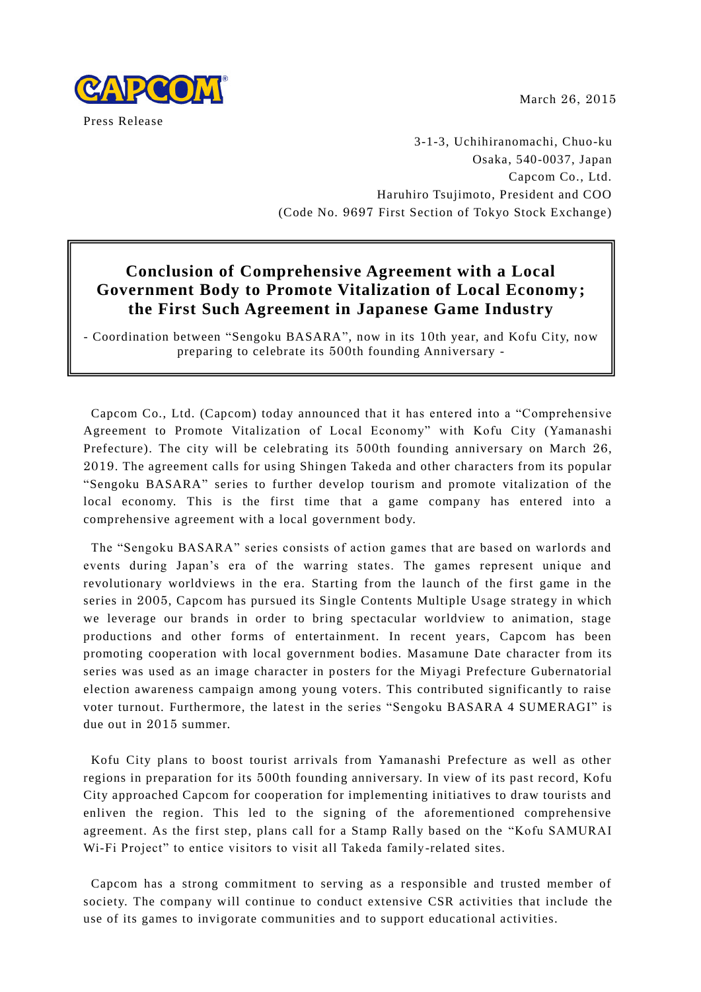March 26, 2015



3-1-3, Uchihiranomachi, Chuo-ku Osaka, 540-0037, Japan Capcom Co., Ltd. Haruhiro Tsujimoto, President and COO (Code No. 9697 First Section of Tokyo Stock Exchange)

# **Conclusion of Comprehensive Agreement with a Local Government Body to Promote Vitalization of Local Economy; the First Such Agreement in Japanese Game Industry**

- Coordination between "Sengoku BASARA", now in its 10th year, and Kofu City, now preparing to celebrate its 500th founding Anniversary -

 $C = L_1 L_2 C \longrightarrow L_1 L_3$  to a non-distribution of the it  $C$  capcomic Capcom Co., Ltd. (Capcom) today announced that it has entered into a "Comprehensive Agreement to Promote Vitalization of Local Economy" with Kofu City (Yamanashi comprehensive agreement with a local government body. Prefecture). The city will be celebrating its 500th founding anniversary on March 26, 2019. The agreement calls for using Shingen Takeda and other characters from its popular "Sengoku BASARA" series to further develop tourism and promote vitalization of the local economy. This is the first time that a game company has entered into a

The "Sengoku BASARA" series consists of action games that are based on warlords and events during Japan's era of the warring states. The games represent unique and revolutionary worldviews in the era. Starting from the launch of the first game in the series in 2005, Capcom has pursued its Single Contents Multiple Usage strategy in which we leverage our brands in order to bring spectacular worldview to animation, stage productions and other forms of entertainment. In recent years, Capcom has been promoting cooperation with local government bodies. Masamune Date character from its series was used as an image character in posters for the Miyagi Prefecture Gubernatorial election awareness campaign among young voters. This contributed significantly to raise voter turnout. Furthermore, the latest in the series "Sengoku BASARA 4 SUMERAGI" is due out in 2015 summer.

Kofu City plans to boost tourist arrivals from Yamanashi Prefecture as well as other regions in preparation for its 500th founding anniversary. In view of its past record, Kofu City approached Capcom for cooperation for implementing initiatives to draw tourists and enliven the region. This led to the signing of the aforementioned comprehensive agreement. As the first step, plans call for a Stamp Rally based on the "Kofu SAMURAI Wi-Fi Project" to entice visitors to visit all Takeda family -related sites.

Capcom has a strong commitment to serving as a responsible and trusted member of society. The company will continue to conduct extensive CSR activities that include the use of its games to invigorate communities and to support educational activities.